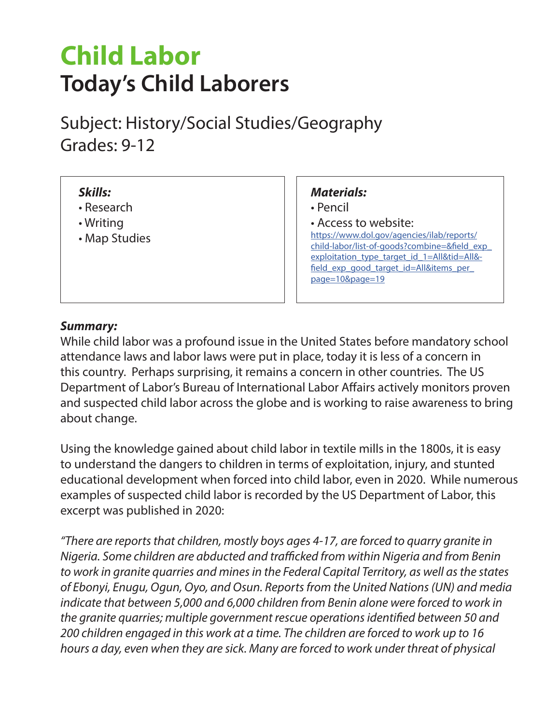# **Child Labor Today's Child Laborers**

Subject: History/Social Studies/Geography Grades: 9-12

#### *Skills:*

- Research
- Writing
- Map Studies

#### *Materials:*

- Pencil
- Access to website: https://www.dol.gov/agencies/ilab/reports/ [child-labor/list-of-goods?combine=&field\\_exp\\_](https://www.dol.gov/agencies/ilab/reports/child-labor/list-of-goods?combine=&field_exp_exploitation_type_target_id_1=All&tid=All&field_exp_good_target_id=All&items_per_page=10&page=19) exploitation\_type\_target\_id\_1=All&tid=All&field\_exp\_good\_target\_id=All&items\_per page=10&page=19

#### *Summary:*

While child labor was a profound issue in the United States before mandatory school attendance laws and labor laws were put in place, today it is less of a concern in this country. Perhaps surprising, it remains a concern in other countries. The US Department of Labor's Bureau of International Labor Affairs actively monitors proven and suspected child labor across the globe and is working to raise awareness to bring about change.

Using the knowledge gained about child labor in textile mills in the 1800s, it is easy to understand the dangers to children in terms of exploitation, injury, and stunted educational development when forced into child labor, even in 2020. While numerous examples of suspected child labor is recorded by the US Department of Labor, this excerpt was published in 2020:

*"There are reports that children, mostly boys ages 4-17, are forced to quarry granite in Nigeria. Some children are abducted and trafficked from within Nigeria and from Benin to work in granite quarries and mines in the Federal Capital Territory, as well as the states of Ebonyi, Enugu, Ogun, Oyo, and Osun. Reports from the United Nations (UN) and media indicate that between 5,000 and 6,000 children from Benin alone were forced to work in the granite quarries; multiple government rescue operations identified between 50 and 200 children engaged in this work at a time. The children are forced to work up to 16 hours a day, even when they are sick. Many are forced to work under threat of physical*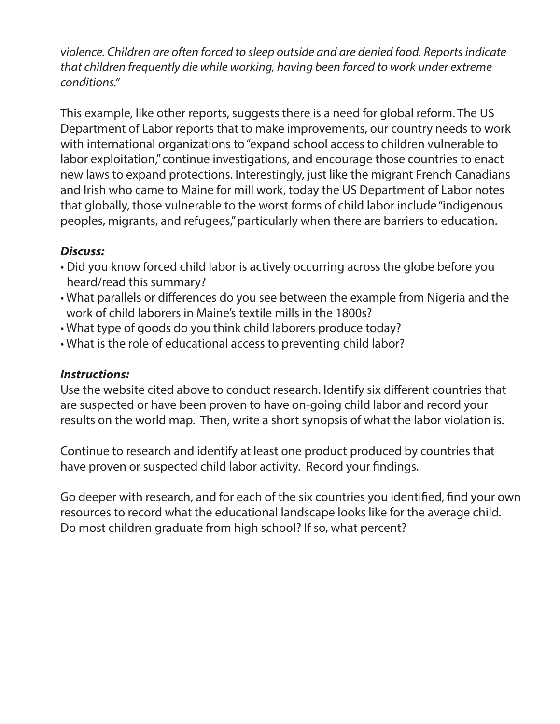*violence. Children are often forced to sleep outside and are denied food. Reports indicate that children frequently die while working, having been forced to work under extreme conditions."*

This example, like other reports, suggests there is a need for global reform. The US Department of Labor reports that to make improvements, our country needs to work with international organizations to "expand school access to children vulnerable to labor exploitation," continue investigations, and encourage those countries to enact new laws to expand protections. Interestingly, just like the migrant French Canadians and Irish who came to Maine for mill work, today the US Department of Labor notes that globally, those vulnerable to the worst forms of child labor include "indigenous peoples, migrants, and refugees," particularly when there are barriers to education.

#### *Discuss:*

- Did you know forced child labor is actively occurring across the globe before you heard/read this summary?
- What parallels or differences do you see between the example from Nigeria and the work of child laborers in Maine's textile mills in the 1800s?
- What type of goods do you think child laborers produce today?
- What is the role of educational access to preventing child labor?

#### *Instructions:*

Use the website cited above to conduct research. Identify six different countries that are suspected or have been proven to have on-going child labor and record your results on the world map. Then, write a short synopsis of what the labor violation is.

Continue to research and identify at least one product produced by countries that have proven or suspected child labor activity. Record your findings.

Go deeper with research, and for each of the six countries you identified, find your own resources to record what the educational landscape looks like for the average child. Do most children graduate from high school? If so, what percent?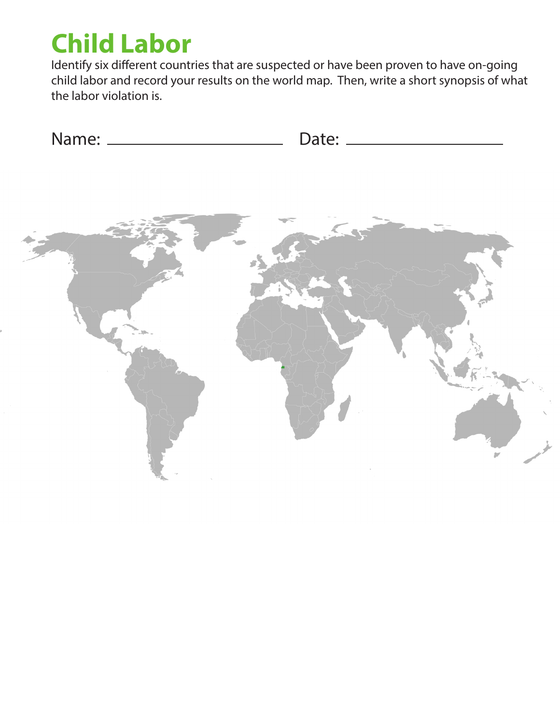# **Child Labor**

Identify six different countries that are suspected or have been proven to have on-going child labor and record your results on the world map. Then, write a short synopsis of what the labor violation is.

| Name: | Date: |
|-------|-------|
|       |       |

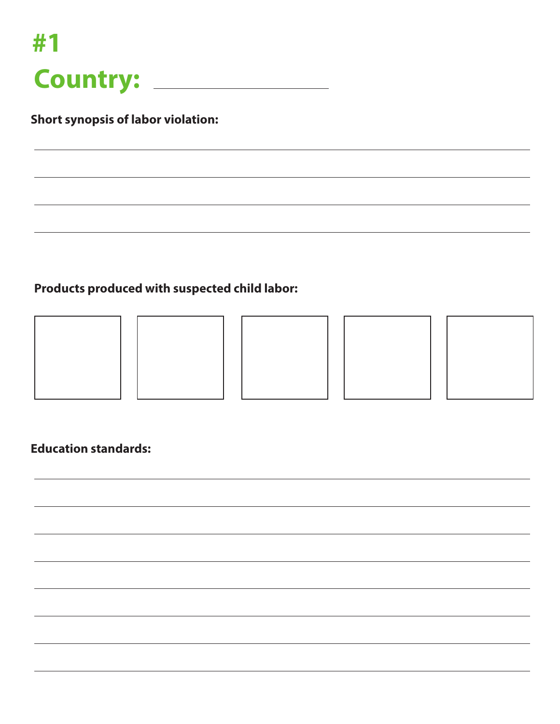

## **Products produced with suspected child labor:**









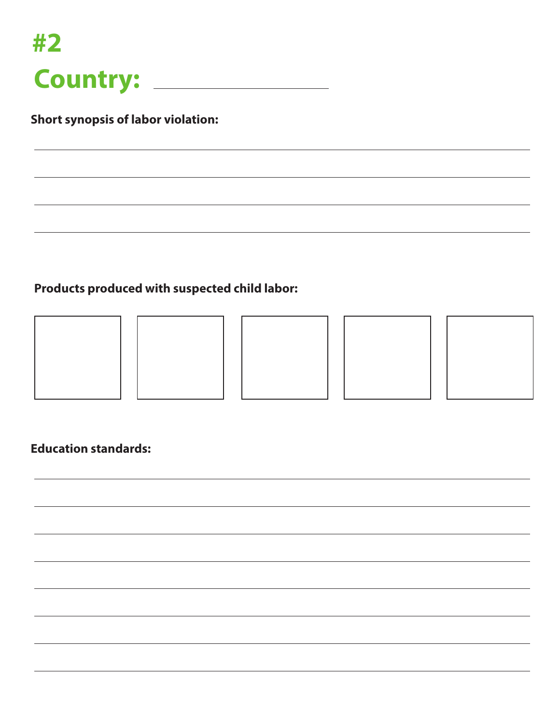

## **Products produced with suspected child labor:**









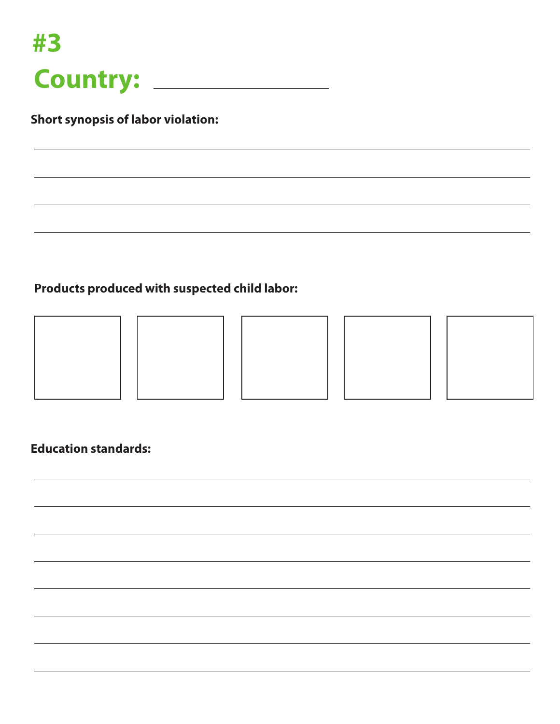

## **Products produced with suspected child labor:**









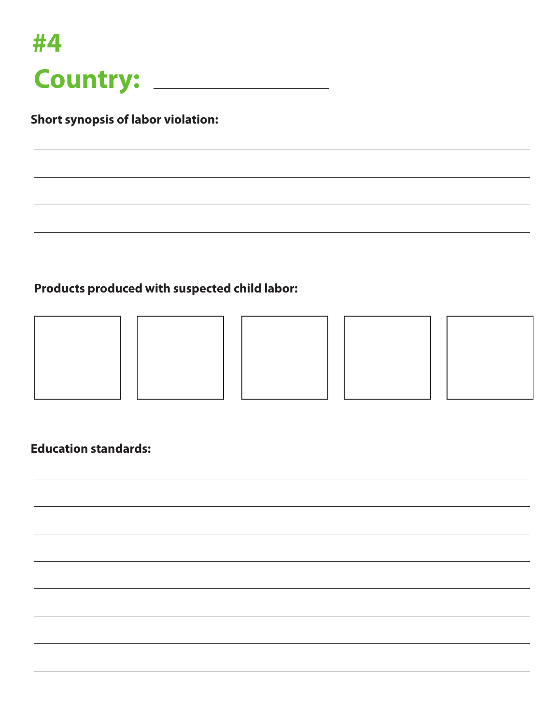

## **Products produced with suspected child labor:**









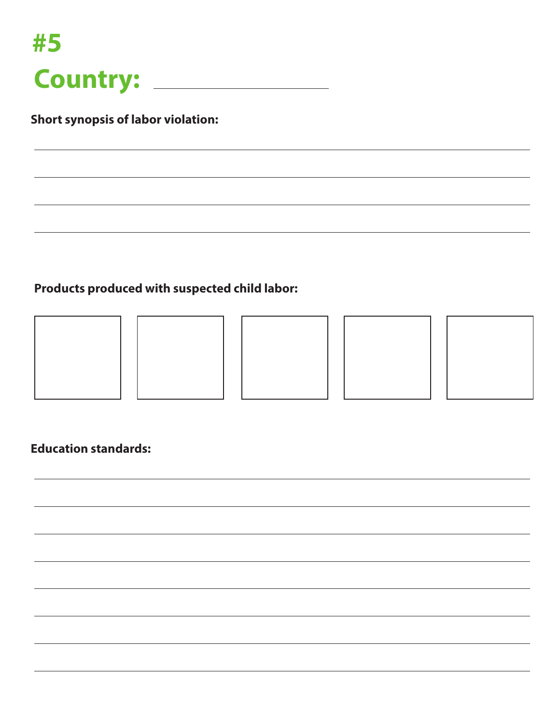

## **Products produced with suspected child labor:**